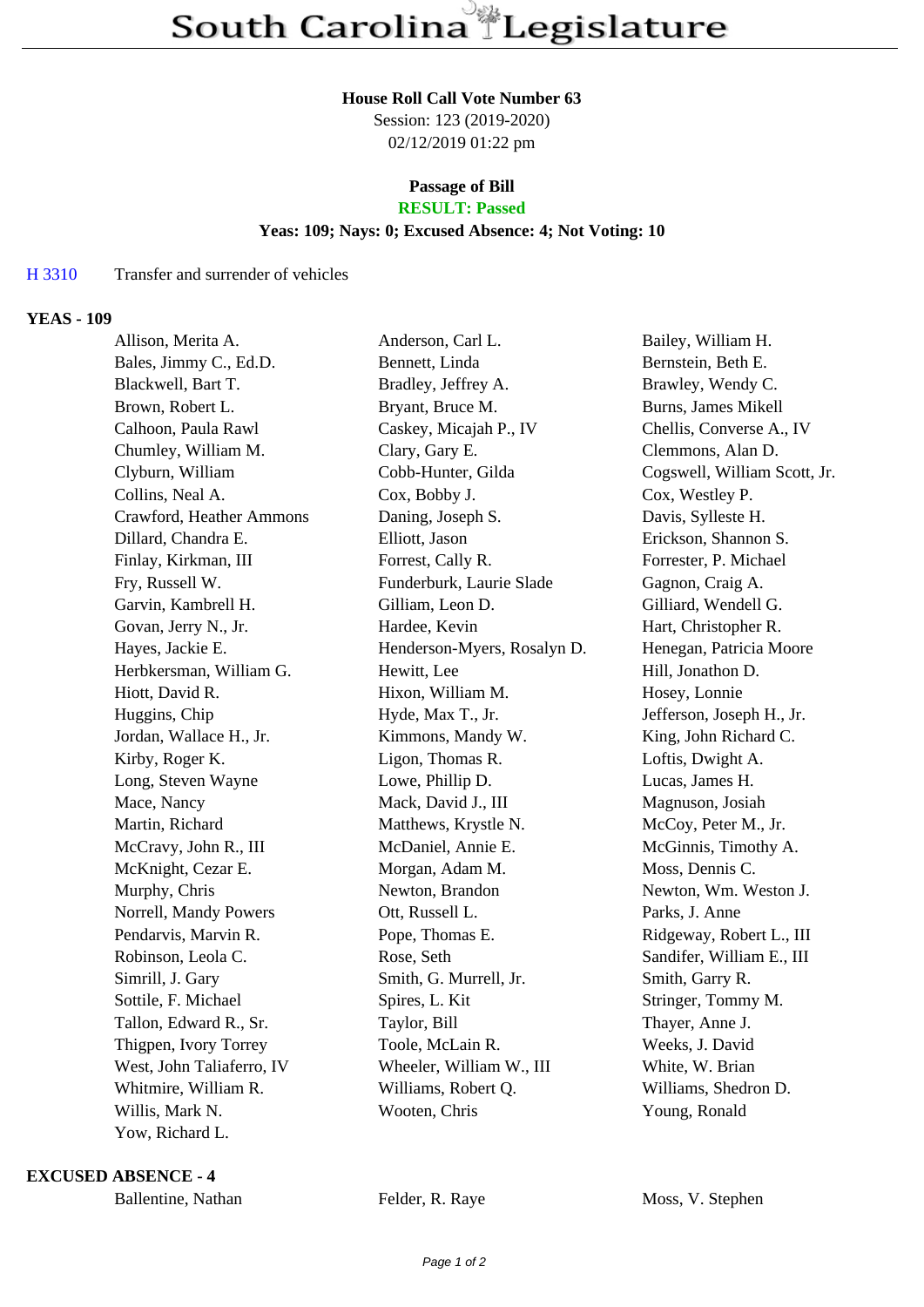#### **House Roll Call Vote Number 63**

Session: 123 (2019-2020) 02/12/2019 01:22 pm

# **Passage of Bill**

## **RESULT: Passed**

### **Yeas: 109; Nays: 0; Excused Absence: 4; Not Voting: 10**

#### H 3310 Transfer and surrender of vehicles

#### **YEAS - 109**

| Allison, Merita A.        | Anderson, Carl L.           | Bailey, William H.           |
|---------------------------|-----------------------------|------------------------------|
| Bales, Jimmy C., Ed.D.    | Bennett, Linda              | Bernstein, Beth E.           |
| Blackwell, Bart T.        | Bradley, Jeffrey A.         | Brawley, Wendy C.            |
| Brown, Robert L.          | Bryant, Bruce M.            | Burns, James Mikell          |
| Calhoon, Paula Rawl       | Caskey, Micajah P., IV      | Chellis, Converse A., IV     |
| Chumley, William M.       | Clary, Gary E.              | Clemmons, Alan D.            |
| Clyburn, William          | Cobb-Hunter, Gilda          | Cogswell, William Scott, Jr. |
| Collins, Neal A.          | Cox, Bobby J.               | Cox, Westley P.              |
| Crawford, Heather Ammons  | Daning, Joseph S.           | Davis, Sylleste H.           |
| Dillard, Chandra E.       | Elliott, Jason              | Erickson, Shannon S.         |
| Finlay, Kirkman, III      | Forrest, Cally R.           | Forrester, P. Michael        |
| Fry, Russell W.           | Funderburk, Laurie Slade    | Gagnon, Craig A.             |
| Garvin, Kambrell H.       | Gilliam, Leon D.            | Gilliard, Wendell G.         |
| Govan, Jerry N., Jr.      | Hardee, Kevin               | Hart, Christopher R.         |
| Hayes, Jackie E.          | Henderson-Myers, Rosalyn D. | Henegan, Patricia Moore      |
| Herbkersman, William G.   | Hewitt, Lee                 | Hill, Jonathon D.            |
| Hiott, David R.           | Hixon, William M.           | Hosey, Lonnie                |
| Huggins, Chip             | Hyde, Max T., Jr.           | Jefferson, Joseph H., Jr.    |
| Jordan, Wallace H., Jr.   | Kimmons, Mandy W.           | King, John Richard C.        |
| Kirby, Roger K.           | Ligon, Thomas R.            | Loftis, Dwight A.            |
| Long, Steven Wayne        | Lowe, Phillip D.            | Lucas, James H.              |
| Mace, Nancy               | Mack, David J., III         | Magnuson, Josiah             |
| Martin, Richard           | Matthews, Krystle N.        | McCoy, Peter M., Jr.         |
| McCravy, John R., III     | McDaniel, Annie E.          | McGinnis, Timothy A.         |
| McKnight, Cezar E.        | Morgan, Adam M.             | Moss, Dennis C.              |
| Murphy, Chris             | Newton, Brandon             | Newton, Wm. Weston J.        |
| Norrell, Mandy Powers     | Ott, Russell L.             | Parks, J. Anne               |
| Pendarvis, Marvin R.      | Pope, Thomas E.             | Ridgeway, Robert L., III     |
| Robinson, Leola C.        | Rose, Seth                  | Sandifer, William E., III    |
| Simrill, J. Gary          | Smith, G. Murrell, Jr.      | Smith, Garry R.              |
| Sottile, F. Michael       | Spires, L. Kit              | Stringer, Tommy M.           |
| Tallon, Edward R., Sr.    | Taylor, Bill                | Thayer, Anne J.              |
| Thigpen, Ivory Torrey     | Toole, McLain R.            | Weeks, J. David              |
| West, John Taliaferro, IV | Wheeler, William W., III    | White, W. Brian              |
| Whitmire, William R.      | Williams, Robert Q.         | Williams, Shedron D.         |
| Willis, Mark N.           | Wooten, Chris               | Young, Ronald                |
| Yow, Richard L.           |                             |                              |

**EXCUSED ABSENCE - 4**

Ballentine, Nathan Felder, R. Raye Moss, V. Stephen